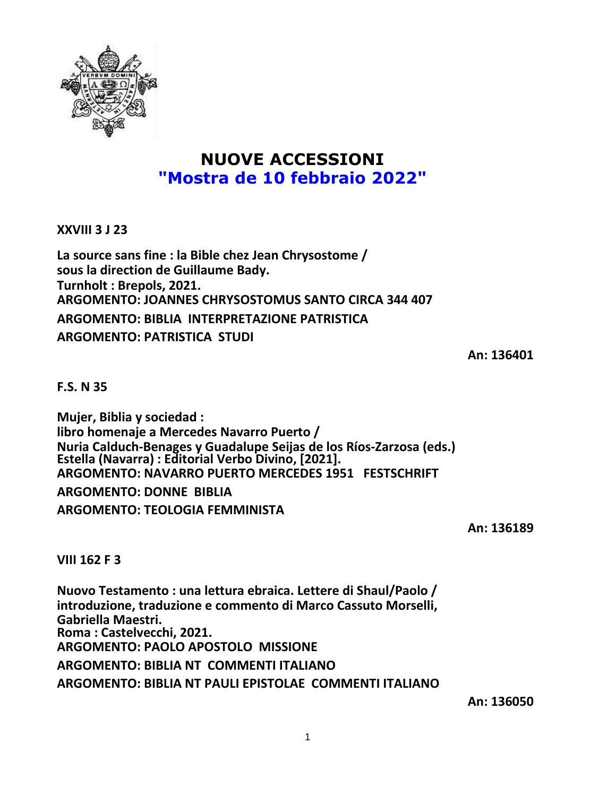

## **NUOVE ACCESSIONI "Mostra de 10 febbraio 2022"**

**XXVIII 3 J 23**

**La source sans fine : la Bible chez Jean Chrysostome / sous la direction de Guillaume Bady. Turnholt : Brepols, 2021. ARGOMENTO: JOANNES CHRYSOSTOMUS SANTO CIRCA 344 407 ARGOMENTO: BIBLIA INTERPRETAZIONE PATRISTICA ARGOMENTO: PATRISTICA STUDI**

**An: 136401**

**F.S. N 35**

**Mujer, Biblia y sociedad : libro homenaje a Mercedes Navarro Puerto / Nuria Calduch-Benages y Guadalupe Seijas de los Ríos-Zarzosa (eds.) Estella (Navarra) : Editorial Verbo Divino, [2021]. ARGOMENTO: NAVARRO PUERTO MERCEDES 1951 FESTSCHRIFT**

**ARGOMENTO: DONNE BIBLIA**

**ARGOMENTO: TEOLOGIA FEMMINISTA**

**An: 136189**

**VIII 162 F 3**

**Nuovo Testamento : una lettura ebraica. Lettere di Shaul/Paolo / introduzione, traduzione e commento di Marco Cassuto Morselli, Gabriella Maestri. Roma : Castelvecchi, 2021. ARGOMENTO: PAOLO APOSTOLO MISSIONE ARGOMENTO: BIBLIA NT COMMENTI ITALIANO ARGOMENTO: BIBLIA NT PAULI EPISTOLAE COMMENTI ITALIANO**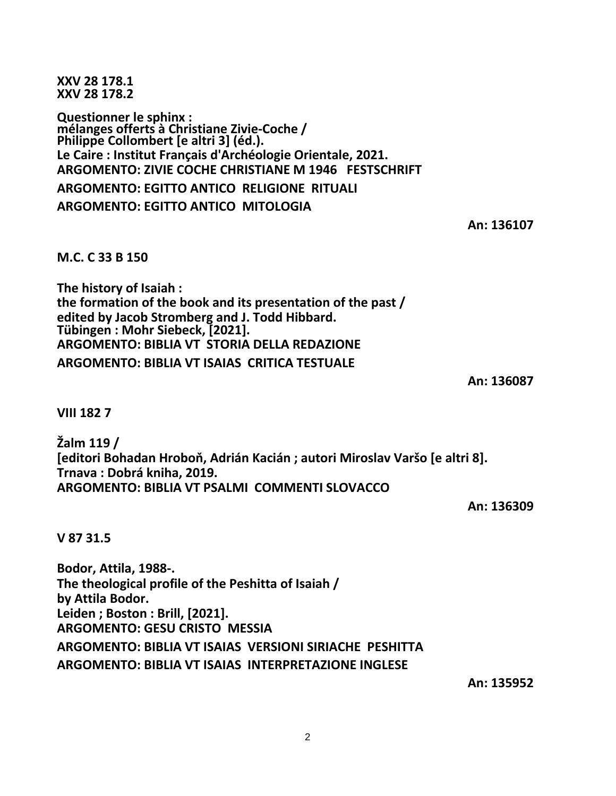2

**XXV 28 178.1 XXV 28 178.2**

**Questionner le sphinx : mélanges offerts à Christiane Zivie-Coche / Philippe Collombert [e altri 3] (éd.). Le Caire : Institut Français d'Archéologie Orientale, 2021. ARGOMENTO: ZIVIE COCHE CHRISTIANE M 1946 FESTSCHRIFT ARGOMENTO: EGITTO ANTICO RELIGIONE RITUALI ARGOMENTO: EGITTO ANTICO MITOLOGIA**

**An: 136107**

**M.C. C 33 B 150**

**The history of Isaiah : the formation of the book and its presentation of the past / edited by Jacob Stromberg and J. Todd Hibbard. Tübingen : Mohr Siebeck, [2021]. ARGOMENTO: BIBLIA VT STORIA DELLA REDAZIONE ARGOMENTO: BIBLIA VT ISAIAS CRITICA TESTUALE**

**An: 136087**

**VIII 182 7**

**Žalm 119 / [editori Bohadan Hroboň, Adrián Kacián ; autori Miroslav Varšo [e altri 8]. Trnava : Dobrá kniha, 2019. ARGOMENTO: BIBLIA VT PSALMI COMMENTI SLOVACCO**

**An: 136309**

**V 87 31.5**

**Bodor, Attila, 1988-. The theological profile of the Peshitta of Isaiah / by Attila Bodor. Leiden ; Boston : Brill, [2021]. ARGOMENTO: GESU CRISTO MESSIA ARGOMENTO: BIBLIA VT ISAIAS VERSIONI SIRIACHE PESHITTA ARGOMENTO: BIBLIA VT ISAIAS INTERPRETAZIONE INGLESE**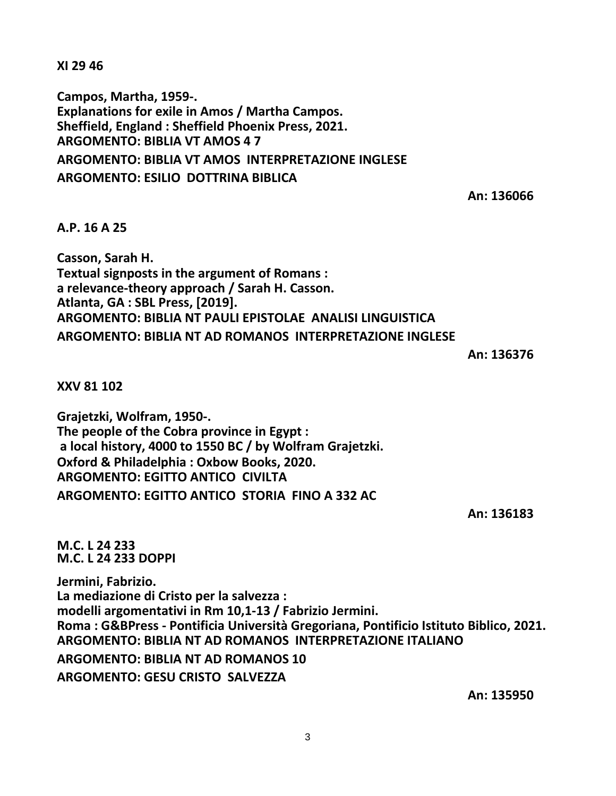**XI 29 46**

**Campos, Martha, 1959-. Explanations for exile in Amos / Martha Campos. Sheffield, England : Sheffield Phoenix Press, 2021. ARGOMENTO: BIBLIA VT AMOS 4 7 ARGOMENTO: BIBLIA VT AMOS INTERPRETAZIONE INGLESE ARGOMENTO: ESILIO DOTTRINA BIBLICA**

**An: 136066**

**A.P. 16 A 25**

**Casson, Sarah H. Textual signposts in the argument of Romans : a relevance-theory approach / Sarah H. Casson. Atlanta, GA : SBL Press, [2019]. ARGOMENTO: BIBLIA NT PAULI EPISTOLAE ANALISI LINGUISTICA ARGOMENTO: BIBLIA NT AD ROMANOS INTERPRETAZIONE INGLESE**

**An: 136376**

**XXV 81 102**

**Grajetzki, Wolfram, 1950-. The people of the Cobra province in Egypt : a local history, 4000 to 1550 BC / by Wolfram Grajetzki. Oxford & Philadelphia : Oxbow Books, 2020. ARGOMENTO: EGITTO ANTICO CIVILTA ARGOMENTO: EGITTO ANTICO STORIA FINO A 332 AC**

**An: 136183**

**M.C. L 24 233 M.C. L 24 233 DOPPI**

**Jermini, Fabrizio. La mediazione di Cristo per la salvezza : modelli argomentativi in Rm 10,1-13 / Fabrizio Jermini. Roma : G&BPress - Pontificia Università Gregoriana, Pontificio Istituto Biblico, 2021. ARGOMENTO: BIBLIA NT AD ROMANOS INTERPRETAZIONE ITALIANO ARGOMENTO: BIBLIA NT AD ROMANOS 10 ARGOMENTO: GESU CRISTO SALVEZZA**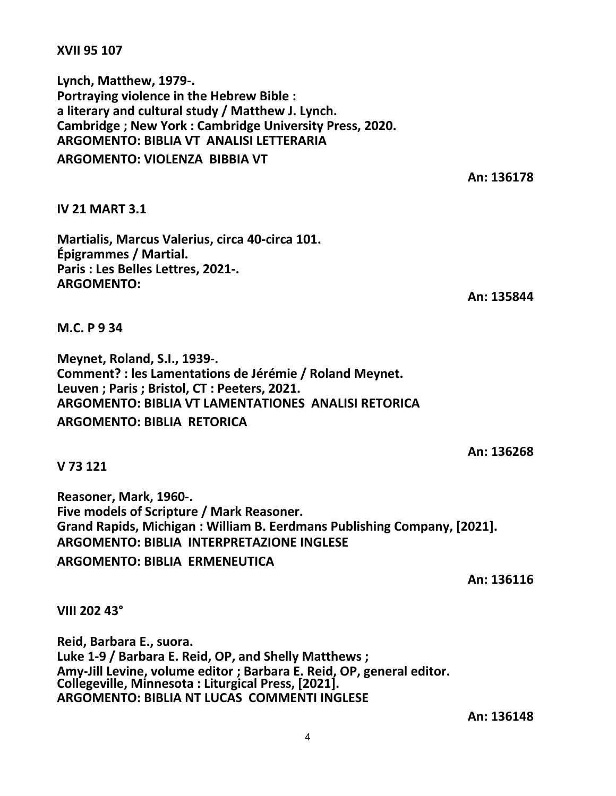**XVII 95 107**

**Lynch, Matthew, 1979-. Portraying violence in the Hebrew Bible : a literary and cultural study / Matthew J. Lynch. Cambridge ; New York : Cambridge University Press, 2020. ARGOMENTO: BIBLIA VT ANALISI LETTERARIA ARGOMENTO: VIOLENZA BIBBIA VT**

**An: 136178**

**IV 21 MART 3.1**

**Martialis, Marcus Valerius, circa 40-circa 101. Épigrammes / Martial. Paris : Les Belles Lettres, 2021-. ARGOMENTO:**

**An: 135844**

**M.C. P 9 34**

**Meynet, Roland, S.I., 1939-. Comment? : les Lamentations de Jérémie / Roland Meynet. Leuven ; Paris ; Bristol, CT : Peeters, 2021. ARGOMENTO: BIBLIA VT LAMENTATIONES ANALISI RETORICA ARGOMENTO: BIBLIA RETORICA**

**An: 136268**

**V 73 121**

**Reasoner, Mark, 1960-. Five models of Scripture / Mark Reasoner. Grand Rapids, Michigan : William B. Eerdmans Publishing Company, [2021]. ARGOMENTO: BIBLIA INTERPRETAZIONE INGLESE ARGOMENTO: BIBLIA ERMENEUTICA**

**An: 136116**

**VIII 202 43°**

**Reid, Barbara E., suora. Luke 1-9 / Barbara E. Reid, OP, and Shelly Matthews ; Amy-Jill Levine, volume editor ; Barbara E. Reid, OP, general editor. Collegeville, Minnesota : Liturgical Press, [2021]. ARGOMENTO: BIBLIA NT LUCAS COMMENTI INGLESE**